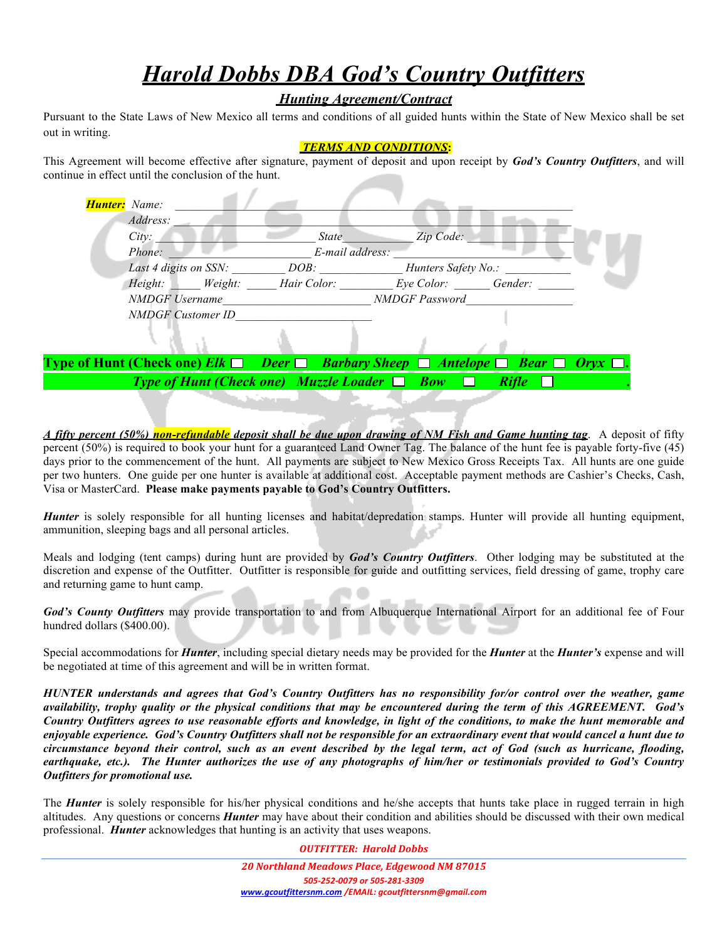# *Harold Dobbs DBA God's Country Outfitters*

## *Hunting Agreement/Contract*

Pursuant to the State Laws of New Mexico all terms and conditions of all guided hunts within the State of New Mexico shall be set out in writing.

#### *TERMS AND CONDITIONS***:**

This Agreement will become effective after signature, payment of deposit and upon receipt by *God's Country Outfitters*, and will continue in effect until the conclusion of the hunt.

| Address:                 |                 |                       |  |
|--------------------------|-----------------|-----------------------|--|
| City:                    | <b>State</b>    | Zip Code:             |  |
| Phone:                   | E-mail address: |                       |  |
| Last 4 digits on SSN:    | DOB:            | Hunters Safety No.:   |  |
| Weight:<br>Height:       | Hair Color:     | Eye Color: Gender:    |  |
| <b>NMDGF</b> Username    |                 | <b>NMDGF</b> Password |  |
| <b>NMDGF</b> Customer ID |                 |                       |  |

# **Type of Hunt (Check one)** *Elk*  $\Box$  *Deer*  $\Box$  *Barbary Sheep*  $\Box$  *Antelope*  $\Box$  *Bear*  $\Box$  *Oryx Type of Hunt (Check one) Muzzle Loader*  $\Box$  *Bow*  $\Box$  *Rifle*

*A fifty percent (50%) non-refundable deposit shall be due upon drawing of NM Fish and Game hunting tag*. A deposit of fifty percent (50%) is required to book your hunt for a guaranteed Land Owner Tag. The balance of the hunt fee is payable forty-five (45) days prior to the commencement of the hunt. All payments are subject to New Mexico Gross Receipts Tax. All hunts are one guide per two hunters. One guide per one hunter is available at additional cost. Acceptable payment methods are Cashier's Checks, Cash, Visa or MasterCard. **Please make payments payable to God's Country Outfitters.**

*Hunter* is solely responsible for all hunting licenses and habitat/depredation stamps. Hunter will provide all hunting equipment, ammunition, sleeping bags and all personal articles.

Meals and lodging (tent camps) during hunt are provided by *God's Country Outfitters*. Other lodging may be substituted at the discretion and expense of the Outfitter. Outfitter is responsible for guide and outfitting services, field dressing of game, trophy care and returning game to hunt camp.

*God's County Outfitters* may provide transportation to and from Albuquerque International Airport for an additional fee of Four hundred dollars (\$400.00).

Special accommodations for *Hunter*, including special dietary needs may be provided for the *Hunter* at the *Hunter's* expense and will be negotiated at time of this agreement and will be in written format.

*HUNTER understands and agrees that God's Country Outfitters has no responsibility for/or control over the weather, game availability, trophy quality or the physical conditions that may be encountered during the term of this AGREEMENT. God's Country Outfitters agrees to use reasonable efforts and knowledge, in light of the conditions, to make the hunt memorable and enjoyable experience. God's Country Outfitters shall not be responsible for an extraordinary event that would cancel a hunt due to circumstance beyond their control, such as an event described by the legal term, act of God (such as hurricane, flooding, earthquake, etc.). The Hunter authorizes the use of any photographs of him/her or testimonials provided to God's Country Outfitters for promotional use.*

The *Hunter* is solely responsible for his/her physical conditions and he/she accepts that hunts take place in rugged terrain in high altitudes. Any questions or concerns *Hunter* may have about their condition and abilities should be discussed with their own medical professional. *Hunter* acknowledges that hunting is an activity that uses weapons.

*OUTFITTER: Harold Dobbs*